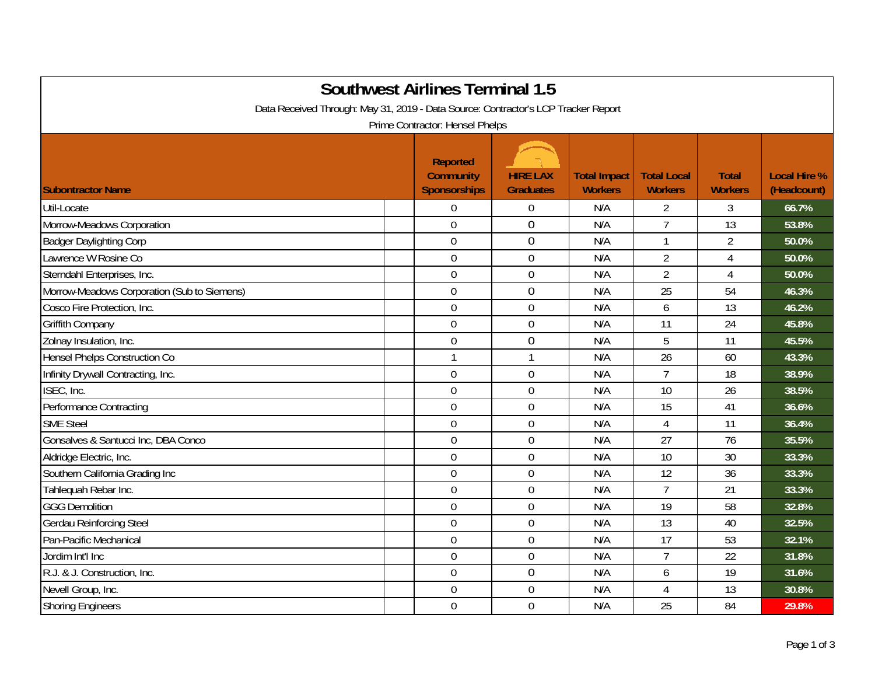| <b>Southwest Airlines Terminal 1.5</b><br>Data Received Through: May 31, 2019 - Data Source: Contractor's LCP Tracker Report<br>Prime Contractor: Hensel Phelps |                                                            |                                     |                                       |                                      |                                |                                    |  |  |
|-----------------------------------------------------------------------------------------------------------------------------------------------------------------|------------------------------------------------------------|-------------------------------------|---------------------------------------|--------------------------------------|--------------------------------|------------------------------------|--|--|
| <b>Subontractor Name</b>                                                                                                                                        | <b>Reported</b><br><b>Community</b><br><b>Sponsorships</b> | <b>HIRE LAX</b><br><b>Graduates</b> | <b>Total Impact</b><br><b>Workers</b> | <b>Total Local</b><br><b>Workers</b> | <b>Total</b><br><b>Workers</b> | <b>Local Hire %</b><br>(Headcount) |  |  |
| Util-Locate                                                                                                                                                     | $\mathbf 0$                                                | 0                                   | N/A                                   | 2                                    | 3                              | 66.7%                              |  |  |
| Morrow-Meadows Corporation                                                                                                                                      | $\overline{0}$                                             | $\overline{0}$                      | N/A                                   | $\overline{7}$                       | 13                             | 53.8%                              |  |  |
| <b>Badger Daylighting Corp</b>                                                                                                                                  | $\mathbf 0$                                                | 0                                   | N/A                                   | $\mathbf{1}$                         | $\overline{2}$                 | 50.0%                              |  |  |
| Lawrence W Rosine Co                                                                                                                                            | $\mathbf 0$                                                | $\boldsymbol{0}$                    | N/A                                   | $\overline{2}$                       | 4                              | 50.0%                              |  |  |
| Sterndahl Enterprises, Inc.                                                                                                                                     | $\mathbf 0$                                                | $\mathbf 0$                         | N/A                                   | $\overline{2}$                       | 4                              | 50.0%                              |  |  |
| Morrow-Meadows Corporation (Sub to Siemens)                                                                                                                     | $\overline{0}$                                             | $\boldsymbol{0}$                    | N/A                                   | 25                                   | 54                             | 46.3%                              |  |  |
| Cosco Fire Protection, Inc.                                                                                                                                     | $\mathbf 0$                                                | $\boldsymbol{0}$                    | N/A                                   | 6                                    | 13                             | 46.2%                              |  |  |
| Griffith Company                                                                                                                                                | $\overline{0}$                                             | $\mathbf 0$                         | N/A                                   | 11                                   | 24                             | 45.8%                              |  |  |
| Zolnay Insulation, Inc.                                                                                                                                         | $\mathbf 0$                                                | 0                                   | N/A                                   | 5                                    | 11                             | 45.5%                              |  |  |
| Hensel Phelps Construction Co                                                                                                                                   | $\mathbf 1$                                                | $\mathbf{1}$                        | N/A                                   | 26                                   | 60                             | 43.3%                              |  |  |
| Infinity Drywall Contracting, Inc.                                                                                                                              | $\mathbf 0$                                                | $\mathbf 0$                         | N/A                                   | $\overline{7}$                       | 18                             | 38.9%                              |  |  |
| ISEC, Inc.                                                                                                                                                      | $\mathbf 0$                                                | $\mathbf 0$                         | N/A                                   | 10                                   | 26                             | 38.5%                              |  |  |
| Performance Contracting                                                                                                                                         | $\mathbf 0$                                                | $\boldsymbol{0}$                    | N/A                                   | 15                                   | 41                             | 36.6%                              |  |  |
| <b>SME Steel</b>                                                                                                                                                | $\mathbf 0$                                                | $\boldsymbol{0}$                    | N/A                                   | $\overline{4}$                       | 11                             | 36.4%                              |  |  |
| Gonsalves & Santucci Inc, DBA Conco                                                                                                                             | $\overline{0}$                                             | $\boldsymbol{0}$                    | N/A                                   | 27                                   | 76                             | 35.5%                              |  |  |
| Aldridge Electric, Inc.                                                                                                                                         | $\overline{0}$                                             | $\mathbf 0$                         | N/A                                   | 10                                   | 30                             | 33.3%                              |  |  |
| Southern California Grading Inc                                                                                                                                 | $\mathbf 0$                                                | $\mathbf 0$                         | N/A                                   | 12                                   | 36                             | 33.3%                              |  |  |
| Tahlequah Rebar Inc.                                                                                                                                            | $\mathbf 0$                                                | $\mathbf 0$                         | N/A                                   | $\overline{7}$                       | 21                             | 33.3%                              |  |  |
| <b>GGG Demolition</b>                                                                                                                                           | $\mathbf 0$                                                | $\mathbf 0$                         | N/A                                   | 19                                   | 58                             | 32.8%                              |  |  |
| Gerdau Reinforcing Steel                                                                                                                                        | $\mathbf 0$                                                | $\boldsymbol{0}$                    | N/A                                   | 13                                   | 40                             | 32.5%                              |  |  |
| Pan-Pacific Mechanical                                                                                                                                          | $\mathbf 0$                                                | $\boldsymbol{0}$                    | N/A                                   | 17                                   | 53                             | 32.1%                              |  |  |
| Jordim Int'l Inc                                                                                                                                                | $\overline{0}$                                             | $\boldsymbol{0}$                    | N/A                                   | $\overline{7}$                       | 22                             | 31.8%                              |  |  |
| R.J. & J. Construction, Inc.                                                                                                                                    | $\overline{0}$                                             | 0                                   | N/A                                   | 6                                    | 19                             | 31.6%                              |  |  |
| Nevell Group, Inc.                                                                                                                                              | $\overline{0}$                                             | $\boldsymbol{0}$                    | N/A                                   | 4                                    | 13                             | 30.8%                              |  |  |
| <b>Shoring Engineers</b>                                                                                                                                        | $\overline{0}$                                             | $\mathbf 0$                         | N/A                                   | 25                                   | 84                             | 29.8%                              |  |  |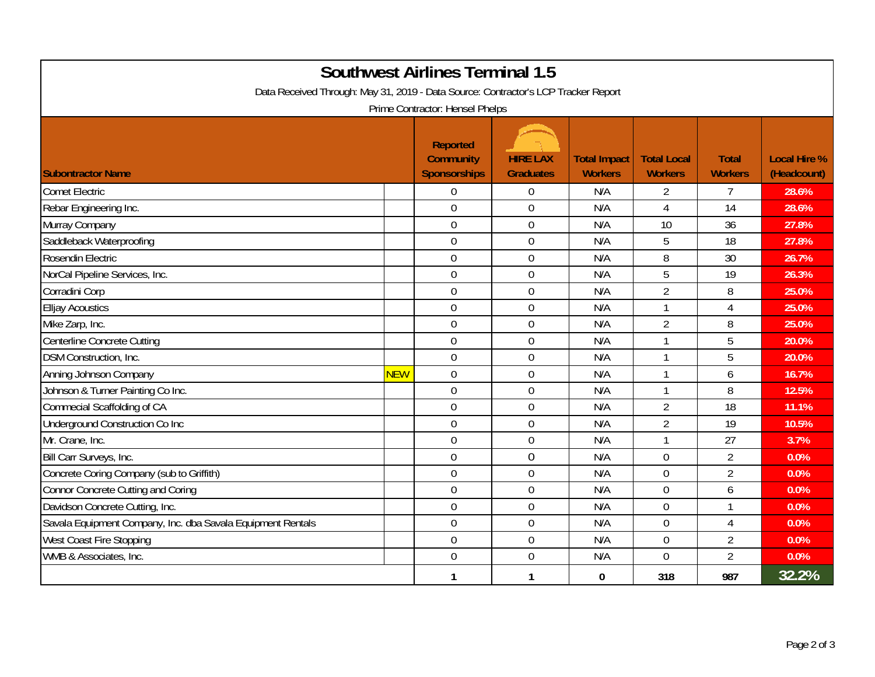| <b>Southwest Airlines Terminal 1.5</b>                                                                                |            |                                                            |                                     |                                       |                                      |                                |                                    |  |  |
|-----------------------------------------------------------------------------------------------------------------------|------------|------------------------------------------------------------|-------------------------------------|---------------------------------------|--------------------------------------|--------------------------------|------------------------------------|--|--|
| Data Received Through: May 31, 2019 - Data Source: Contractor's LCP Tracker Report<br>Prime Contractor: Hensel Phelps |            |                                                            |                                     |                                       |                                      |                                |                                    |  |  |
| <b>Subontractor Name</b>                                                                                              |            | <b>Reported</b><br><b>Community</b><br><b>Sponsorships</b> | <b>HIRE LAX</b><br><b>Graduates</b> | <b>Total Impact</b><br><b>Workers</b> | <b>Total Local</b><br><b>Workers</b> | <b>Total</b><br><b>Workers</b> | <b>Local Hire %</b><br>(Headcount) |  |  |
| <b>Comet Electric</b>                                                                                                 |            | $\overline{0}$                                             | $\overline{0}$                      | N/A                                   | $\overline{2}$                       | $\overline{7}$                 | 28.6%                              |  |  |
| Rebar Engineering Inc.                                                                                                |            | $\overline{0}$                                             | $\overline{0}$                      | N/A                                   | 4                                    | 14                             | 28.6%                              |  |  |
| Murray Company                                                                                                        |            | $\overline{0}$                                             | $\mathbf 0$                         | N/A                                   | 10                                   | 36                             | 27.8%                              |  |  |
| Saddleback Waterproofing                                                                                              |            | $\overline{0}$                                             | $\boldsymbol{0}$                    | N/A                                   | 5                                    | 18                             | 27.8%                              |  |  |
| Rosendin Electric                                                                                                     |            | $\overline{0}$                                             | $\mathbf 0$                         | N/A                                   | 8                                    | 30                             | 26.7%                              |  |  |
| NorCal Pipeline Services, Inc.                                                                                        |            | $\overline{0}$                                             | $\mathbf 0$                         | N/A                                   | 5                                    | 19                             | 26.3%                              |  |  |
| Corradini Corp                                                                                                        |            | $\mathbf 0$                                                | $\boldsymbol{0}$                    | N/A                                   | $\overline{2}$                       | 8                              | 25.0%                              |  |  |
| <b>Elljay Acoustics</b>                                                                                               |            | $\overline{0}$                                             | $\mathbf{0}$                        | N/A                                   | 1                                    | 4                              | 25.0%                              |  |  |
| Mike Zarp, Inc.                                                                                                       |            | $\overline{0}$                                             | $\mathbf 0$                         | N/A                                   | $\overline{2}$                       | 8                              | 25.0%                              |  |  |
| Centerline Concrete Cutting                                                                                           |            | $\mathbf 0$                                                | $\boldsymbol{0}$                    | N/A                                   | $\mathbf{1}$                         | 5                              | 20.0%                              |  |  |
| <b>DSM Construction, Inc.</b>                                                                                         |            | $\overline{0}$                                             | $\mathbf 0$                         | N/A                                   | $\mathbf 1$                          | 5                              | 20.0%                              |  |  |
| Anning Johnson Company                                                                                                | <b>NEW</b> | $\overline{0}$                                             | $\mathbf 0$                         | N/A                                   | $\mathbf{1}$                         | 6                              | 16.7%                              |  |  |
| Johnson & Turner Painting Co Inc.                                                                                     |            | $\mathbf 0$                                                | $\mathbf 0$                         | N/A                                   | $\mathbf{1}$                         | 8                              | 12.5%                              |  |  |
| <b>Commecial Scaffolding of CA</b>                                                                                    |            | $\mathbf 0$                                                | $\mathbf 0$                         | N/A                                   | $\overline{2}$                       | 18                             | 11.1%                              |  |  |
| Underground Construction Co Inc                                                                                       |            | $\overline{0}$                                             | $\overline{0}$                      | N/A                                   | $\overline{2}$                       | 19                             | 10.5%                              |  |  |
| Mr. Crane, Inc.                                                                                                       |            | $\mathbf 0$                                                | $\boldsymbol{0}$                    | N/A                                   | $\mathbf 1$                          | 27                             | 3.7%                               |  |  |
| Bill Carr Surveys, Inc.                                                                                               |            | $\mathbf 0$                                                | $\boldsymbol{0}$                    | N/A                                   | $\mathbf 0$                          | $\overline{2}$                 | 0.0%                               |  |  |
| Concrete Coring Company (sub to Griffith)                                                                             |            | $\overline{0}$                                             | $\mathbf 0$                         | N/A                                   | $\overline{0}$                       | $\overline{2}$                 | 0.0%                               |  |  |
| Connor Concrete Cutting and Coring                                                                                    |            | $\mathbf 0$                                                | $\overline{0}$                      | N/A                                   | $\overline{0}$                       | 6                              | 0.0%                               |  |  |
| Davidson Concrete Cutting, Inc.                                                                                       |            | $\overline{0}$                                             | $\mathbf 0$                         | N/A                                   | $\overline{0}$                       | $\mathbf{1}$                   | 0.0%                               |  |  |
| Savala Equipment Company, Inc. dba Savala Equipment Rentals                                                           |            | $\overline{0}$                                             | $\overline{0}$                      | N/A                                   | $\Omega$                             | $\overline{4}$                 | 0.0%                               |  |  |
| West Coast Fire Stopping                                                                                              |            | $\overline{0}$                                             | $\overline{0}$                      | N/A                                   | $\overline{0}$                       | $\overline{2}$                 | 0.0%                               |  |  |
| WMB & Associates, Inc.                                                                                                |            | $\mathbf 0$                                                | $\mathbf 0$                         | N/A                                   | $\overline{0}$                       | $\overline{2}$                 | 0.0%                               |  |  |
|                                                                                                                       |            | 1                                                          | $\mathbf{1}$                        | $\bf{0}$                              | 318                                  | 987                            | 32.2%                              |  |  |